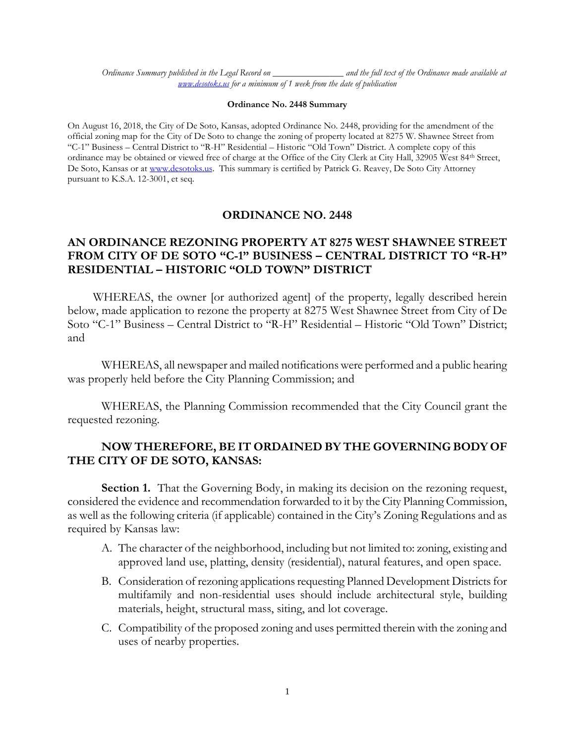*Ordinance Summary published in the Legal Record on \_\_\_\_\_\_\_\_\_\_\_\_\_\_\_ and the full text of the Ordinance made available at [www.desotoks.us](http://www.desotoks.us/) for a minimum of 1 week from the date of publication*

#### **Ordinance No. 2448 Summary**

On August 16, 2018, the City of De Soto, Kansas, adopted Ordinance No. 2448, providing for the amendment of the official zoning map for the City of De Soto to change the zoning of property located at 8275 W. Shawnee Street from "C-1" Business – Central District to "R-H" Residential – Historic "Old Town" District. A complete copy of this ordinance may be obtained or viewed free of charge at the Office of the City Clerk at City Hall, 32905 West 84th Street, De Soto, Kansas or at [www.desotoks.us.](http://www.desotoks.us/) This summary is certified by Patrick G. Reavey, De Soto City Attorney pursuant to K.S.A. 12-3001, et seq.

#### **ORDINANCE NO. 2448**

# **AN ORDINANCE REZONING PROPERTY AT 8275 WEST SHAWNEE STREET FROM CITY OF DE SOTO "C-1" BUSINESS – CENTRAL DISTRICT TO "R-H" RESIDENTIAL – HISTORIC "OLD TOWN" DISTRICT**

WHEREAS, the owner [or authorized agent] of the property, legally described herein below, made application to rezone the property at 8275 West Shawnee Street from City of De Soto "C-1" Business – Central District to "R-H" Residential – Historic "Old Town" District; and

WHEREAS, all newspaper and mailed notifications were performed and a public hearing was properly held before the City Planning Commission; and

WHEREAS, the Planning Commission recommended that the City Council grant the requested rezoning.

### **NOW THEREFORE, BE IT ORDAINED BY THE GOVERNING BODY OF THE CITY OF DE SOTO, KANSAS:**

**Section 1.** That the Governing Body, in making its decision on the rezoning request, considered the evidence and recommendation forwarded to it by the City Planning Commission, as well as the following criteria (if applicable) contained in the City's Zoning Regulations and as required by Kansas law:

- A. The character of the neighborhood, including but not limited to: zoning, existing and approved land use, platting, density (residential), natural features, and open space.
- B. Consideration of rezoning applications requesting Planned Development Districts for multifamily and non-residential uses should include architectural style, building materials, height, structural mass, siting, and lot coverage.
- C. Compatibility of the proposed zoning and uses permitted therein with the zoning and uses of nearby properties.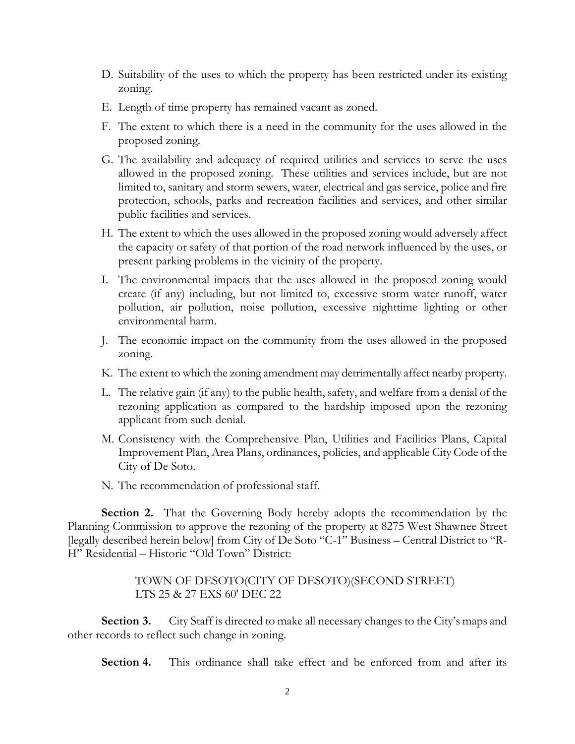- D. Suitability of the uses to which the property has been restricted under its existing zoning.
- E. Length of time property has remained vacant as zoned.
- F. The extent to which there is a need in the community for the uses allowed in the proposed zoning.
- G. The availability and adequacy of required utilities and services to serve the uses allowed in the proposed zoning. These utilities and services include, but are not limited to, sanitary and storm sewers, water, electrical and gas service, police and fire protection, schools, parks and recreation facilities and services, and other similar public facilities and services.
- H. The extent to which the uses allowed in the proposed zoning would adversely affect the capacity or safety of that portion of the road network influenced by the uses, or present parking problems in the vicinity of the property.
- I. The environmental impacts that the uses allowed in the proposed zoning would create (if any) including, but not limited to, excessive storm water runoff, water pollution, air pollution, noise pollution, excessive nighttime lighting or other environmental harm.
- J. The economic impact on the community from the uses allowed in the proposed zoning.
- K. The extent to which the zoning amendment may detrimentally affect nearby property.
- L. The relative gain (if any) to the public health, safety, and welfare from a denial of the rezoning application as compared to the hardship imposed upon the rezoning applicant from such denial.
- M. Consistency with the Comprehensive Plan, Utilities and Facilities Plans, Capital Improvement Plan, Area Plans, ordinances, policies, and applicable City Code of the City of De Soto.
- N. The recommendation of professional staff.

**Section 2.** That the Governing Body hereby adopts the recommendation by the Planning Commission to approve the rezoning of the property at 8275 West Shawnee Street [legally described herein below] from City of De Soto "C-1" Business – Central District to "R-H" Residential – Historic "Old Town" District:

## TOWN OF DESOTO(CITY OF DESOTO)(SECOND STREET) LTS 25 & 27 EXS 60' DEC 22

**Section 3.** City Staff is directed to make all necessary changes to the City's maps and other records to reflect such change in zoning.

**Section 4.** This ordinance shall take effect and be enforced from and after its